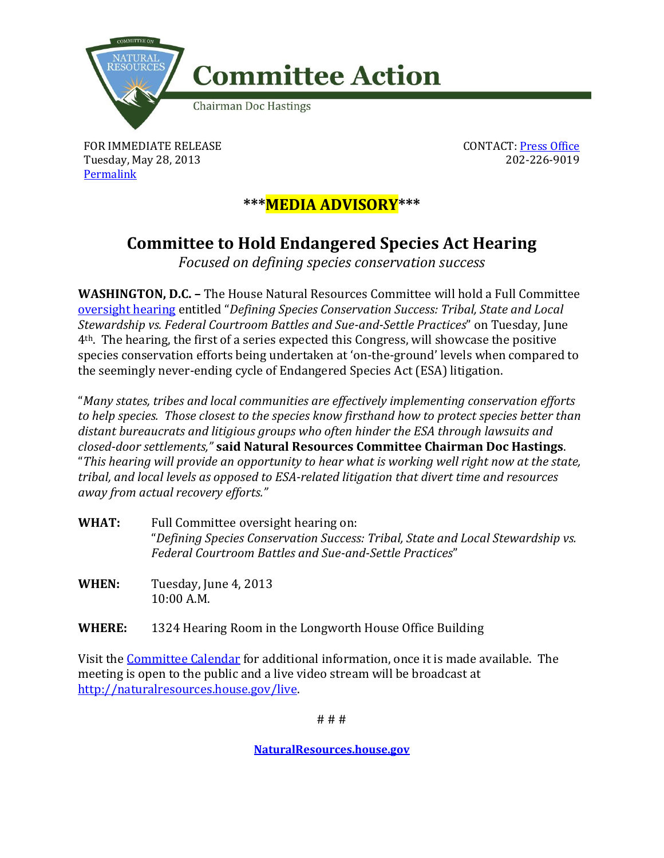

FOR IMMEDIATE RELEASE Tuesday, May 28, 2013 [Permalink](http://naturalresources.house.gov/news/documentsingle.aspx?DocumentID=335723)

CONTACT[: Press Office](http://naturalresources.house.gov/contact/media.htm) 202-226-9019

## **\*\*\*MEDIA ADVISORY\*\*\***

## **Committee to Hold Endangered Species Act Hearing**

*Focused on defining species conservation success* 

**WASHINGTON, D.C. –** The House Natural Resources Committee will hold a Full Committee [oversight hearing](http://naturalresources.house.gov/calendar/eventsingle.aspx?EventID=335534) entitled "*Defining Species Conservation Success: Tribal, State and Local Stewardship vs. Federal Courtroom Battles and Sue-and-Settle Practices*" on Tuesday, June 4th. The hearing, the first of a series expected this Congress, will showcase the positive species conservation efforts being undertaken at 'on-the-ground' levels when compared to the seemingly never-ending cycle of Endangered Species Act (ESA) litigation.

"*Many states, tribes and local communities are effectively implementing conservation efforts to help species. Those closest to the species know firsthand how to protect species better than distant bureaucrats and litigious groups who often hinder the ESA through lawsuits and closed-door settlements,"* **said Natural Resources Committee Chairman Doc Hastings**. "*This hearing will provide an opportunity to hear what is working well right now at the state, tribal, and local levels as opposed to ESA-related litigation that divert time and resources away from actual recovery efforts."*

- **WHAT:** Full Committee oversight hearing on: "*Defining Species Conservation Success: Tribal, State and Local Stewardship vs. Federal Courtroom Battles and Sue-and-Settle Practices*"
- **WHEN:** Tuesday, June 4, 2013 10:00 A.M.

**WHERE:** 1324 Hearing Room in the Longworth House Office Building

Visit the [Committee Calendar](http://naturalresources.house.gov/Calendar/) for additional information, once it is made available. The meeting is open to the public and a live video stream will be broadcast at [http://naturalresources.house.gov/live.](http://naturalresources.house.gov/Live/)

# # #

**[NaturalResources.house.gov](http://naturalresources.house.gov/)**